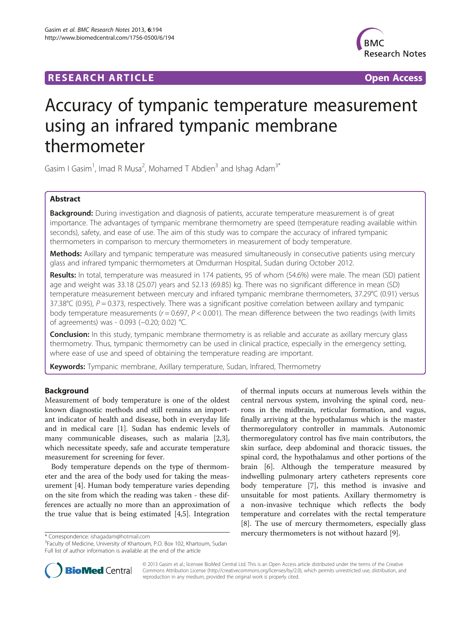## **RESEARCH ARTICLE Example 2014 CONSIDERING A RESEARCH ARTICLE**



# Accuracy of tympanic temperature measurement using an infrared tympanic membrane thermometer

Gasim I Gasim<sup>1</sup>, Imad R Musa<sup>2</sup>, Mohamed T Abdien<sup>3</sup> and Ishag Adam<sup>3\*</sup>

## Abstract

Background: During investigation and diagnosis of patients, accurate temperature measurement is of great importance. The advantages of tympanic membrane thermometry are speed (temperature reading available within seconds), safety, and ease of use. The aim of this study was to compare the accuracy of infrared tympanic thermometers in comparison to mercury thermometers in measurement of body temperature.

Methods: Axillary and tympanic temperature was measured simultaneously in consecutive patients using mercury glass and infrared tympanic thermometers at Omdurman Hospital, Sudan during October 2012.

Results: In total, temperature was measured in 174 patients, 95 of whom (54.6%) were male. The mean (SD) patient age and weight was 33.18 (25.07) years and 52.13 (69.85) kg. There was no significant difference in mean (SD) temperature measurement between mercury and infrared tympanic membrane thermometers, 37.29°C (0.91) versus 37.38 $^{\circ}$ C (0.95),  $P = 0.373$ , respectively. There was a significant positive correlation between axillary and tympanic body temperature measurements ( $r = 0.697$ ,  $P < 0.001$ ). The mean difference between the two readings (with limits of agreements) was - 0.093 (−0.20; 0.02) °C.

**Conclusion:** In this study, tympanic membrane thermometry is as reliable and accurate as axillary mercury glass thermometry. Thus, tympanic thermometry can be used in clinical practice, especially in the emergency setting, where ease of use and speed of obtaining the temperature reading are important.

Keywords: Tympanic membrane, Axillary temperature, Sudan, Infrared, Thermometry

## Background

Measurement of body temperature is one of the oldest known diagnostic methods and still remains an important indicator of health and disease, both in everyday life and in medical care [\[1](#page-3-0)]. Sudan has endemic levels of many communicable diseases, such as malaria [\[2,3](#page-3-0)], which necessitate speedy, safe and accurate temperature measurement for screening for fever.

Body temperature depends on the type of thermometer and the area of the body used for taking the measurement [[4\]](#page-3-0). Human body temperature varies depending on the site from which the reading was taken - these differences are actually no more than an approximation of the true value that is being estimated [[4,](#page-3-0)[5\]](#page-4-0). Integration

of thermal inputs occurs at numerous levels within the central nervous system, involving the spinal cord, neurons in the midbrain, reticular formation, and vagus, finally arriving at the hypothalamus which is the master thermoregulatory controller in mammals. Autonomic thermoregulatory control has five main contributors, the skin surface, deep abdominal and thoracic tissues, the spinal cord, the hypothalamus and other portions of the brain [\[6](#page-4-0)]. Although the temperature measured by indwelling pulmonary artery catheters represents core body temperature [\[7](#page-4-0)], this method is invasive and unsuitable for most patients. Axillary thermometry is a non-invasive technique which reflects the body temperature and correlates with the rectal temperature [[8\]](#page-4-0). The use of mercury thermometers, especially glass \* Correspondence: [ishagadam@hotmail.com](mailto:ishagadam@hotmail.com) **mercury thermometers is not without hazard** [\[9\]](#page-4-0).



© 2013 Gasim et al.; licensee BioMed Central Ltd. This is an Open Access article distributed under the terms of the Creative Commons Attribution License [\(http://creativecommons.org/licenses/by/2.0\)](http://creativecommons.org/licenses/by/2.0), which permits unrestricted use, distribution, and reproduction in any medium, provided the original work is properly cited.

<sup>&</sup>lt;sup>3</sup>Faculty of Medicine, University of Khartoum, P.O. Box 102, Khartoum, Sudan Full list of author information is available at the end of the article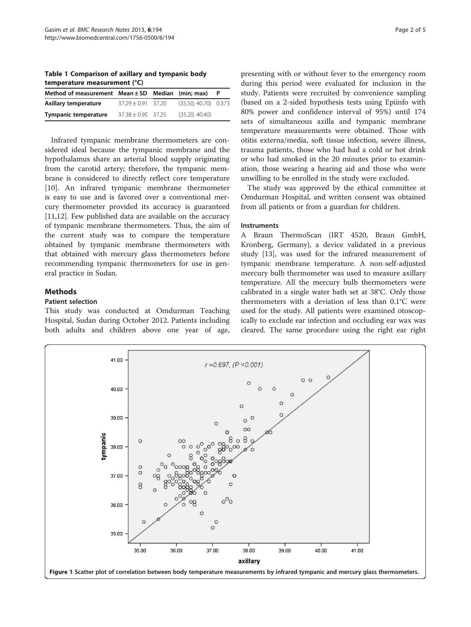<span id="page-1-0"></span>Table 1 Comparison of axillary and tympanic body temperature measurement (°C)

| Method of measurement $Mean \pm SD$ Median (min; max) |                        |                        |  |
|-------------------------------------------------------|------------------------|------------------------|--|
| Axillary temperature                                  | $37.29 + 0.91$ 37.20   | $(35.50: 40.70)$ 0.373 |  |
| <b>Tympanic temperature</b>                           | $37.38 \pm 0.95$ 37.25 | (35.20: 40.40)         |  |

Infrared tympanic membrane thermometers are considered ideal because the tympanic membrane and the hypothalamus share an arterial blood supply originating from the carotid artery; therefore, the tympanic membrane is considered to directly reflect core temperature [[10\]](#page-4-0). An infrared tympanic membrane thermometer is easy to use and is favored over a conventional mercury thermometer provided its accuracy is guaranteed [[11,12\]](#page-4-0). Few published data are available on the accuracy of tympanic membrane thermometers. Thus, the aim of the current study was to compare the temperature obtained by tympanic membrane thermometers with that obtained with mercury glass thermometers before recommending tympanic thermometers for use in general practice in Sudan.

## **Methods**

#### Patient selection

This study was conducted at Omdurman Teaching Hospital, Sudan during October 2012. Patients including both adults and children above one year of age, presenting with or without fever to the emergency room during this period were evaluated for inclusion in the study. Patients were recruited by convenience sampling (based on a 2-sided hypothesis tests using Epiinfo with 80% power and confidence interval of 95%) until 174 sets of simultaneous axilla and tympanic membrane temperature measurements were obtained. Those with otitis externa/media, soft tissue infection, severe illness, trauma patients, those who had had a cold or hot drink or who had smoked in the 20 minutes prior to examination, those wearing a hearing aid and those who were unwilling to be enrolled in the study were excluded.

The study was approved by the ethical committee at Omdurman Hospital, and written consent was obtained from all patients or from a guardian for children.

#### Instruments

A Braun ThermoScan (IRT 4520, Braun GmbH, Kronberg, Germany), a device validated in a previous study [[13\]](#page-4-0), was used for the infrared measurement of tympanic membrane temperature. A non-self-adjusted mercury bulb thermometer was used to measure axillary temperature. All the mercury bulb thermometers were calibrated in a single water bath set at 38°C. Only those thermometers with a deviation of less than 0.1°C were used for the study. All patients were examined otoscopically to exclude ear infection and occluding ear wax was cleared. The same procedure using the right ear right

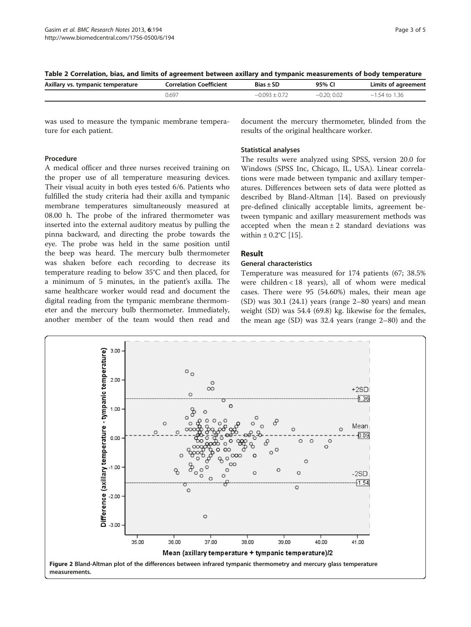<span id="page-2-0"></span>

| Table 2 Correlation, bias, and limits of agreement between axillary and tympanic measurements of body temperature |  |  |  |
|-------------------------------------------------------------------------------------------------------------------|--|--|--|
|                                                                                                                   |  |  |  |

| Axillary vs. tympanic temperature | <b>Correlation Coefficient</b> | $Bias \pm SD$ | 95% CI       | Limits of agreement |
|-----------------------------------|--------------------------------|---------------|--------------|---------------------|
|                                   | 0.697                          |               | $-0.20:0.02$ | 136<br>$-1.54$ to   |

was used to measure the tympanic membrane temperature for each patient.

#### Procedure

A medical officer and three nurses received training on the proper use of all temperature measuring devices. Their visual acuity in both eyes tested 6/6. Patients who fulfilled the study criteria had their axilla and tympanic membrane temperatures simultaneously measured at 08.00 h. The probe of the infrared thermometer was inserted into the external auditory meatus by pulling the pinna backward, and directing the probe towards the eye. The probe was held in the same position until the beep was heard. The mercury bulb thermometer was shaken before each recording to decrease its temperature reading to below 35°C and then placed, for a minimum of 5 minutes, in the patient's axilla. The same healthcare worker would read and document the digital reading from the tympanic membrane thermometer and the mercury bulb thermometer. Immediately, another member of the team would then read and document the mercury thermometer, blinded from the results of the original healthcare worker.

#### Statistical analyses

The results were analyzed using SPSS, version 20.0 for Windows (SPSS Inc, Chicago, IL, USA). Linear correlations were made between tympanic and axillary temperatures. Differences between sets of data were plotted as described by Bland-Altman [[14](#page-4-0)]. Based on previously pre-defined clinically acceptable limits, agreement between tympanic and axillary measurement methods was accepted when the mean  $\pm 2$  standard deviations was within  $\pm$  0.2°C [[15\]](#page-4-0).

## Result

## General characteristics

Temperature was measured for 174 patients (67; 38.5% were children < 18 years), all of whom were medical cases. There were 95 (54.60%) males, their mean age  $(SD)$  was 30.1  $(24.1)$  years (range 2–80 years) and mean weight (SD) was 54.4 (69.8) kg. likewise for the females, the mean age (SD) was 32.4 years (range 2–80) and the

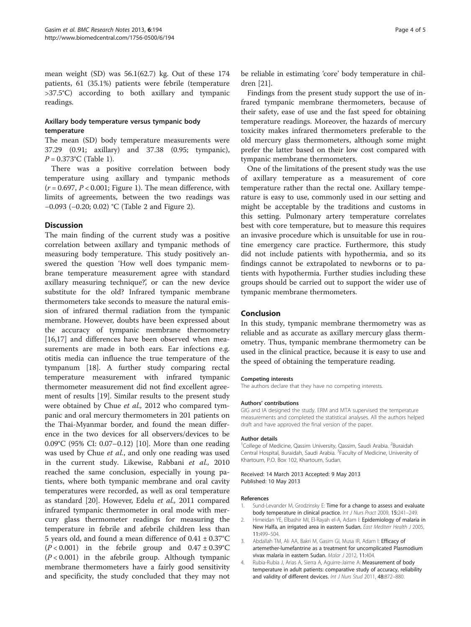<span id="page-3-0"></span>mean weight (SD) was 56.1(62.7) kg. Out of these 174 patients, 61 (35.1%) patients were febrile (temperature >37.5°C) according to both axillary and tympanic readings.

## Axillary body temperature versus tympanic body temperature

The mean (SD) body temperature measurements were 37.29 (0.91; axillary) and 37.38 (0.95; tympanic),  $P = 0.373$ °C (Table [1](#page-1-0)).

There was a positive correlation between body temperature using axillary and tympanic methods  $(r = 0.697, P < 0.001$ ; Figure [1\)](#page-1-0). The mean difference, with limits of agreements, between the two readings was −0.093 (−0.20; 0.02) °C (Table [2](#page-2-0) and Figure [2](#page-2-0)).

#### **Discussion**

The main finding of the current study was a positive correlation between axillary and tympanic methods of measuring body temperature. This study positively answered the question 'How well does tympanic membrane temperature measurement agree with standard axillary measuring technique?', or can the new device substitute for the old? Infrared tympanic membrane thermometers take seconds to measure the natural emission of infrared thermal radiation from the tympanic membrane. However, doubts have been expressed about the accuracy of tympanic membrane thermometry [[16,17\]](#page-4-0) and differences have been observed when measurements are made in both ears. Ear infections e.g. otitis media can influence the true temperature of the tympanum [\[18\]](#page-4-0). A further study comparing rectal temperature measurement with infrared tympanic thermometer measurement did not find excellent agreement of results [\[19\]](#page-4-0). Similar results to the present study were obtained by Chue et al., 2012 who compared tympanic and oral mercury thermometers in 201 patients on the Thai-Myanmar border, and found the mean difference in the two devices for all observers/devices to be 0.09°C (95% CI: 0.07–0.12) [\[10](#page-4-0)]. More than one reading was used by Chue et al., and only one reading was used in the current study. Likewise, Rabbani et al., 2010 reached the same conclusion, especially in young patients, where both tympanic membrane and oral cavity temperatures were recorded, as well as oral temperature as standard [\[20](#page-4-0)]. However, Edelu et al., 2011 compared infrared tympanic thermometer in oral mode with mercury glass thermometer readings for measuring the temperature in febrile and afebrile children less than 5 years old, and found a mean difference of  $0.41 \pm 0.37$ °C  $(P < 0.001)$  in the febrile group and  $0.47 \pm 0.39^{\circ}$ C  $(P < 0.001)$  in the afebrile group. Although tympanic membrane thermometers have a fairly good sensitivity and specificity, the study concluded that they may not

be reliable in estimating 'core' body temperature in children [[21](#page-4-0)].

Findings from the present study support the use of infrared tympanic membrane thermometers, because of their safety, ease of use and the fast speed for obtaining temperature readings. Moreover, the hazards of mercury toxicity makes infrared thermometers preferable to the old mercury glass thermometers, although some might prefer the latter based on their low cost compared with tympanic membrane thermometers.

One of the limitations of the present study was the use of axillary temperature as a measurement of core temperature rather than the rectal one. Axillary temperature is easy to use, commonly used in our setting and might be acceptable by the traditions and customs in this setting. Pulmonary artery temperature correlates best with core temperature, but to measure this requires an invasive procedure which is unsuitable for use in routine emergency care practice. Furthermore, this study did not include patients with hypothermia, and so its findings cannot be extrapolated to newborns or to patients with hypothermia. Further studies including these groups should be carried out to support the wider use of tympanic membrane thermometers.

## Conclusion

In this study, tympanic membrane thermometry was as reliable and as accurate as axillary mercury glass thermometry. Thus, tympanic membrane thermometry can be used in the clinical practice, because it is easy to use and the speed of obtaining the temperature reading.

#### Competing interests

The authors declare that they have no competing interests.

#### Authors' contributions

GIG and IA designed the study. ERM and MTA supervised the temperature measurements and completed the statistical analyses. All the authors helped draft and have approved the final version of the paper.

#### Author details

<sup>1</sup>College of Medicine, Qassim University, Qassim, Saudi Arabia. <sup>2</sup>Buraidah Central Hospital, Buraidah, Saudi Arabia. <sup>3</sup> Faculty of Medicine, University of Khartoum, P.O. Box 102, Khartoum, Sudan.

Received: 14 March 2013 Accepted: 9 May 2013 Published: 10 May 2013

#### References

- 1. Sund-Levander M, Grodzinsky E: Time for a change to assess and evaluate body temperature in clinical practice. Int J Nurs Pract 2009, 15:241–249.
- Himeidan YE, Elbashir MI, El-Rayah el-A, Adam I: Epidemiology of malaria in New Halfa, an irrigated area in eastern Sudan. East Mediterr Health J 2005, 11:499–504.
- 3. Abdallah TM, Ali AA, Bakri M, Gasim GI, Musa IR, Adam I: Efficacy of artemether-lumefantrine as a treatment for uncomplicated Plasmodium vivax malaria in eastern Sudan. Malar J 2012, 11:404
- 4. Rubia-Rubia J, Arias A, Sierra A, Aguirre-Jaime A: Measurement of body temperature in adult patients: comparative study of accuracy, reliability and validity of different devices. Int J Nurs Stud 2011, 48:872-880.